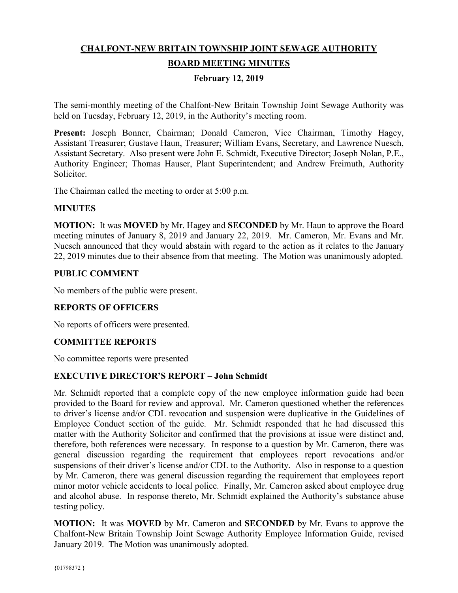# **CHALFONT-NEW BRITAIN TOWNSHIP JOINT SEWAGE AUTHORITY**

## **BOARD MEETING MINUTES**

## **February 12, 2019**

The semi-monthly meeting of the Chalfont-New Britain Township Joint Sewage Authority was held on Tuesday, February 12, 2019, in the Authority's meeting room.

**Present:** Joseph Bonner, Chairman; Donald Cameron, Vice Chairman, Timothy Hagey, Assistant Treasurer; Gustave Haun, Treasurer; William Evans, Secretary, and Lawrence Nuesch, Assistant Secretary. Also present were John E. Schmidt, Executive Director; Joseph Nolan, P.E., Authority Engineer; Thomas Hauser, Plant Superintendent; and Andrew Freimuth, Authority Solicitor.

The Chairman called the meeting to order at 5:00 p.m.

#### **MINUTES**

**MOTION:** It was **MOVED** by Mr. Hagey and **SECONDED** by Mr. Haun to approve the Board meeting minutes of January 8, 2019 and January 22, 2019. Mr. Cameron, Mr. Evans and Mr. Nuesch announced that they would abstain with regard to the action as it relates to the January 22, 2019 minutes due to their absence from that meeting. The Motion was unanimously adopted.

#### **PUBLIC COMMENT**

No members of the public were present.

## **REPORTS OF OFFICERS**

No reports of officers were presented.

## **COMMITTEE REPORTS**

No committee reports were presented

## **EXECUTIVE DIRECTOR'S REPORT – John Schmidt**

Mr. Schmidt reported that a complete copy of the new employee information guide had been provided to the Board for review and approval. Mr. Cameron questioned whether the references to driver's license and/or CDL revocation and suspension were duplicative in the Guidelines of Employee Conduct section of the guide. Mr. Schmidt responded that he had discussed this matter with the Authority Solicitor and confirmed that the provisions at issue were distinct and, therefore, both references were necessary. In response to a question by Mr. Cameron, there was general discussion regarding the requirement that employees report revocations and/or suspensions of their driver's license and/or CDL to the Authority. Also in response to a question by Mr. Cameron, there was general discussion regarding the requirement that employees report minor motor vehicle accidents to local police. Finally, Mr. Cameron asked about employee drug and alcohol abuse. In response thereto, Mr. Schmidt explained the Authority's substance abuse testing policy.

**MOTION:** It was **MOVED** by Mr. Cameron and **SECONDED** by Mr. Evans to approve the Chalfont-New Britain Township Joint Sewage Authority Employee Information Guide, revised January 2019. The Motion was unanimously adopted.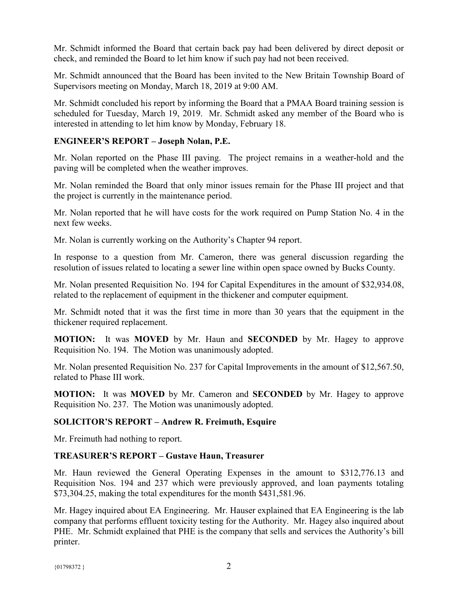Mr. Schmidt informed the Board that certain back pay had been delivered by direct deposit or check, and reminded the Board to let him know if such pay had not been received.

Mr. Schmidt announced that the Board has been invited to the New Britain Township Board of Supervisors meeting on Monday, March 18, 2019 at 9:00 AM.

Mr. Schmidt concluded his report by informing the Board that a PMAA Board training session is scheduled for Tuesday, March 19, 2019. Mr. Schmidt asked any member of the Board who is interested in attending to let him know by Monday, February 18.

#### **ENGINEER'S REPORT – Joseph Nolan, P.E.**

Mr. Nolan reported on the Phase III paving. The project remains in a weather-hold and the paving will be completed when the weather improves.

Mr. Nolan reminded the Board that only minor issues remain for the Phase III project and that the project is currently in the maintenance period.

Mr. Nolan reported that he will have costs for the work required on Pump Station No. 4 in the next few weeks.

Mr. Nolan is currently working on the Authority's Chapter 94 report.

In response to a question from Mr. Cameron, there was general discussion regarding the resolution of issues related to locating a sewer line within open space owned by Bucks County.

Mr. Nolan presented Requisition No. 194 for Capital Expenditures in the amount of \$32,934.08, related to the replacement of equipment in the thickener and computer equipment.

Mr. Schmidt noted that it was the first time in more than 30 years that the equipment in the thickener required replacement.

**MOTION:** It was **MOVED** by Mr. Haun and **SECONDED** by Mr. Hagey to approve Requisition No. 194. The Motion was unanimously adopted.

Mr. Nolan presented Requisition No. 237 for Capital Improvements in the amount of \$12,567.50, related to Phase III work.

**MOTION:** It was **MOVED** by Mr. Cameron and **SECONDED** by Mr. Hagey to approve Requisition No. 237. The Motion was unanimously adopted.

#### **SOLICITOR'S REPORT – Andrew R. Freimuth, Esquire**

Mr. Freimuth had nothing to report.

#### **TREASURER'S REPORT – Gustave Haun, Treasurer**

Mr. Haun reviewed the General Operating Expenses in the amount to \$312,776.13 and Requisition Nos. 194 and 237 which were previously approved, and loan payments totaling \$73,304.25, making the total expenditures for the month \$431,581.96.

Mr. Hagey inquired about EA Engineering. Mr. Hauser explained that EA Engineering is the lab company that performs effluent toxicity testing for the Authority. Mr. Hagey also inquired about PHE. Mr. Schmidt explained that PHE is the company that sells and services the Authority's bill printer.